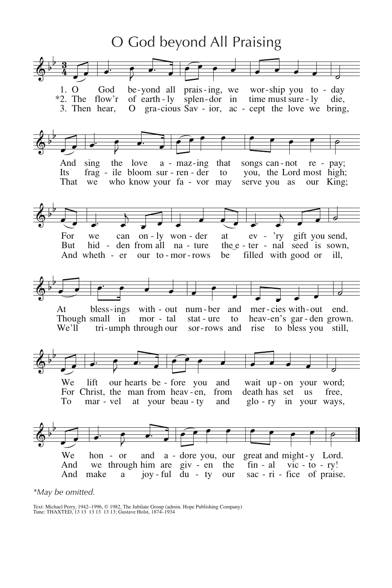

\*May be omitted.

Text: Michael Perry, 1942-1996, © 1982, The Jubilate Group (admin. Hope Publishing Company)<br>Tune: THAXTED, 13 13 13 13 13 13; Gustave Holst, 1874-1934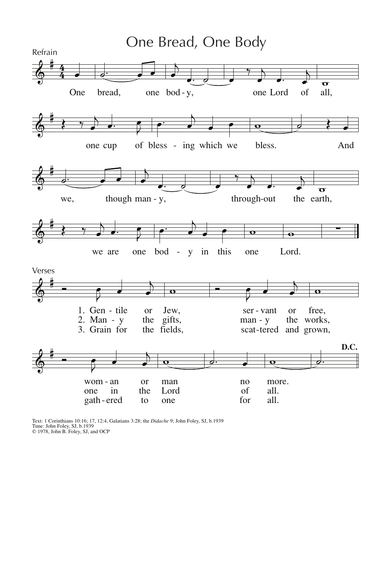

Text: 1 Corinthians 10:16; 17, 12:4, Galatians 3:28; the *Didache* 9; John Foley, SJ, b.1939<br>Tune: John Foley, SJ, b.1939<br>© 1978, John B. Foley, SJ, and OCP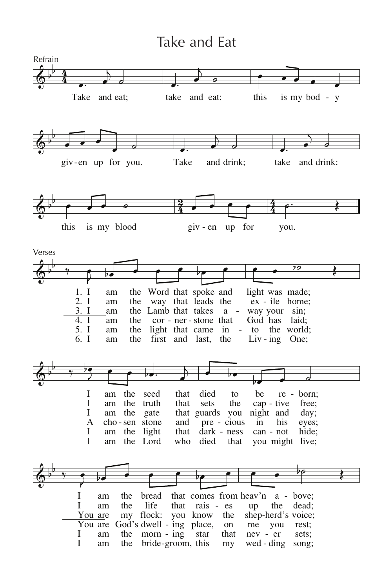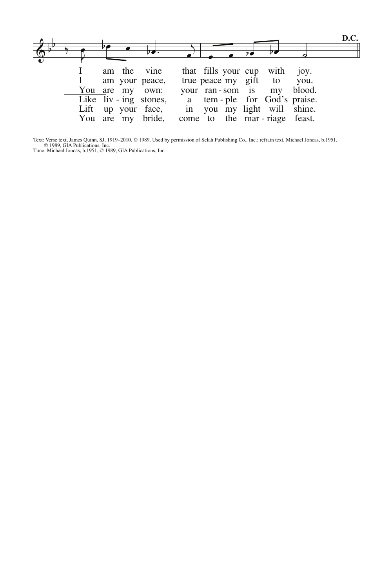

Text: Verse text, James Quinn, SJ, 1919–2010, © 1989. Used by permission of Selah Publishing Co., Inc.; refrain text, Michael Joncas, b.1951, © 1989, GIA Publications, Inc.<br>
Tune: Michael Joncas, b.1951, © 1989, GIA Public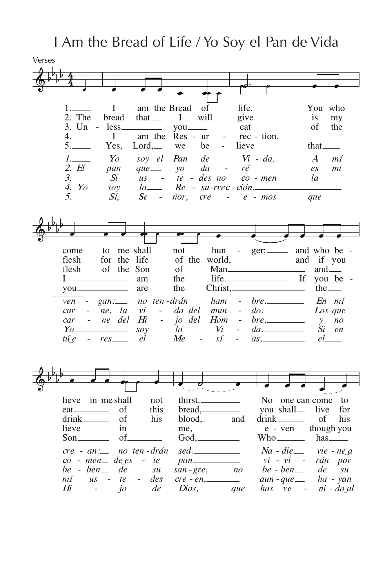I Am the Bread of Life / Yo Soy el Pan de Vida

| Verses |                                     |                                  |                                           |                                |                                |                                  |                                            |                              |
|--------|-------------------------------------|----------------------------------|-------------------------------------------|--------------------------------|--------------------------------|----------------------------------|--------------------------------------------|------------------------------|
|        |                                     |                                  |                                           |                                |                                |                                  |                                            |                              |
|        |                                     |                                  |                                           |                                |                                |                                  |                                            |                              |
|        |                                     |                                  |                                           |                                |                                |                                  |                                            |                              |
|        |                                     |                                  |                                           |                                |                                |                                  |                                            |                              |
|        | 1.                                  | I                                | am the Bread                              | of                             |                                | life.                            | You who                                    |                              |
|        | 2. The                              | bread                            | that <sub>—</sub>                         | will<br>$\mathbf{I}$           |                                | give                             | is                                         | my                           |
|        | 3. Un -                             | less.                            |                                           |                                |                                | eat                              | οf                                         | the                          |
|        | 4.                                  | I                                | am the                                    | Res - ur                       |                                | rec - tion,                      |                                            |                              |
|        | 5.                                  | Yes,                             | $Lord, \_\_$                              | be<br>we                       | $\overline{\phantom{0}}$       | lieve                            | that_                                      |                              |
|        | $1$ <sub>1</sub>                    | Yo                               | soy el                                    | Pan<br>de                      |                                | $Vi - da.$                       | $\bm{A}$                                   | mí                           |
|        | 2. El                               | pan                              | $que$ —                                   | da<br>$\mathcal{V}$            | $\overline{\phantom{a}}$       | ré                               | $\mathfrak{e}_S$                           | mi                           |
|        | 3.                                  | Si                               | $\overline{u}$ s                          | te - des no                    |                                | $co$ - $men$                     | la                                         |                              |
|        | 4. Yo                               | soy                              | $la$ <sub>—</sub>                         |                                |                                | $Re - su$ - $rrec$ - $ción$ ,    |                                            |                              |
|        | 5.                                  | Sí,                              | Se<br>$\sim$                              | ñor,<br><i>cre</i>             | $\sim 100$                     | $e$ - $mos$                      | $que$ —                                    |                              |
|        |                                     |                                  |                                           |                                |                                |                                  |                                            |                              |
|        |                                     |                                  |                                           |                                |                                |                                  |                                            |                              |
|        |                                     |                                  |                                           |                                |                                |                                  |                                            |                              |
|        |                                     |                                  |                                           |                                |                                |                                  |                                            |                              |
|        |                                     |                                  |                                           |                                |                                |                                  |                                            |                              |
|        | come                                | to me shall                      |                                           | not                            | hun<br>$\sim$ $ \sim$          |                                  | ger; and who be                            |                              |
|        | flesh                               | for the life                     |                                           |                                |                                | of the world, and if you         |                                            |                              |
|        | flesh                               | of the Son                       |                                           | of                             |                                |                                  |                                            | and $\equiv$                 |
|        | $I_{--}$                            | <u> 1999 - Johann Barnett, f</u> | am                                        | the                            |                                | life.                            | If                                         | you be                       |
|        | you                                 |                                  | are                                       | the                            |                                | $Christ, \_\_\_\_\_$             |                                            | the $\equiv$                 |
|        | ven                                 | gan:                             | no ten-drán                               |                                | ham                            | $bre_{-}$                        |                                            | En mí                        |
|        | car<br>$\overline{\phantom{a}}$     | ne, la                           | $\mathcal{V}$<br>$\overline{\phantom{a}}$ | da del                         | mun                            | do.<br>$\overline{\phantom{a}}$  |                                            | Los que                      |
|        | car                                 | ne del                           | Hi                                        | jo del                         | Hom                            | bre,<br>$\overline{\phantom{a}}$ | $\mathcal{Y}$                              | n <sub>O</sub>               |
|        | $Yo\_$                              | <u> 1999 - John Barnett, f</u>   | soy                                       | la                             | Vi<br>$\overline{\phantom{0}}$ | $da$ .                           | Si                                         | en                           |
|        | tú e                                | $res$ <sub>---</sub>             | el                                        | Me<br>$\overline{\phantom{a}}$ | sí<br>$\overline{\phantom{a}}$ |                                  |                                            | $el$ <sub>_____</sub>        |
|        |                                     |                                  |                                           |                                |                                |                                  |                                            |                              |
|        |                                     |                                  |                                           |                                |                                |                                  |                                            |                              |
|        |                                     |                                  |                                           |                                |                                |                                  |                                            |                              |
|        |                                     |                                  |                                           |                                |                                |                                  |                                            |                              |
|        |                                     |                                  |                                           |                                |                                |                                  |                                            |                              |
|        | lieve                               | in me shall                      | not                                       |                                | thirst.                        |                                  | No one can come                            | to                           |
|        |                                     | οf                               | this                                      |                                | $break, \_\_\_\_\_$            |                                  | you shall_<br>live                         | for                          |
|        | drink_____                          | of                               | his                                       | blood,                         | and                            |                                  | of                                         | his                          |
|        | lieve <sub>————</sub>               | in.                              |                                           |                                | me,                            |                                  | e - ven _ though you                       |                              |
|        | Son $\_\_\_\_\_\_\$                 | $of_{-}$                         |                                           |                                | $God, \_\_\_\_\_$              |                                  |                                            | $has$ ——                     |
|        |                                     |                                  |                                           |                                | $\mathit{sed.}\_\_\_\_\_\_\_$  |                                  |                                            |                              |
|        | $cre$ - $an:$<br>$co$ - men $de$ es |                                  | no ten-drán<br>$-te$                      |                                |                                |                                  | $Na - die$ vie - ne a<br>vi - vi - rán por |                              |
|        | be - ben—                           | de                               |                                           |                                |                                |                                  | $be - ben$ <sub>—</sub>                    |                              |
|        |                                     |                                  | su                                        | $san$ - $gre$ ,                | n <sub>O</sub>                 |                                  | de                                         | $\mathcal{S}$ <i>u</i>       |
|        | mí<br>$\overline{u}$ s              | te                               | des<br>$-$                                |                                | $cre - en$ ,                   |                                  | $aun - que \_$ ha - yan                    |                              |
|        | Hi<br>$\sim$                        | $\dot{j}$                        | de                                        | $Dios_{, -}$                   | que                            |                                  | has ve -                                   | $ni$ - $do$ <sub>d</sub> $l$ |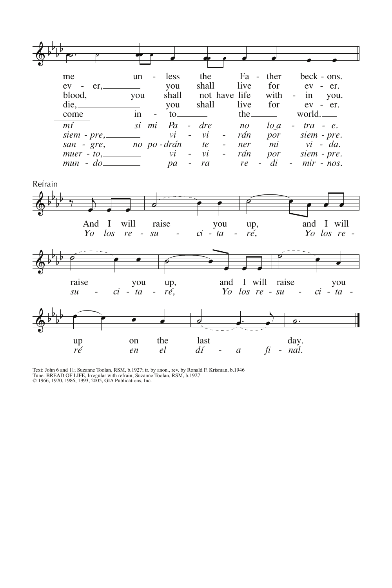

Text: John 6 and 11; Suzanne Toolan, RSM, b.1927; tr. by anon., rev. by Ronald F. Krisman, b.1946<br>Tune: BREAD OF LIFE, Irregular with refrain; Suzanne Toolan, RSM, b.1927<br>© 1966, 1970, 1986, 1993, 2005, GIA Publications, I